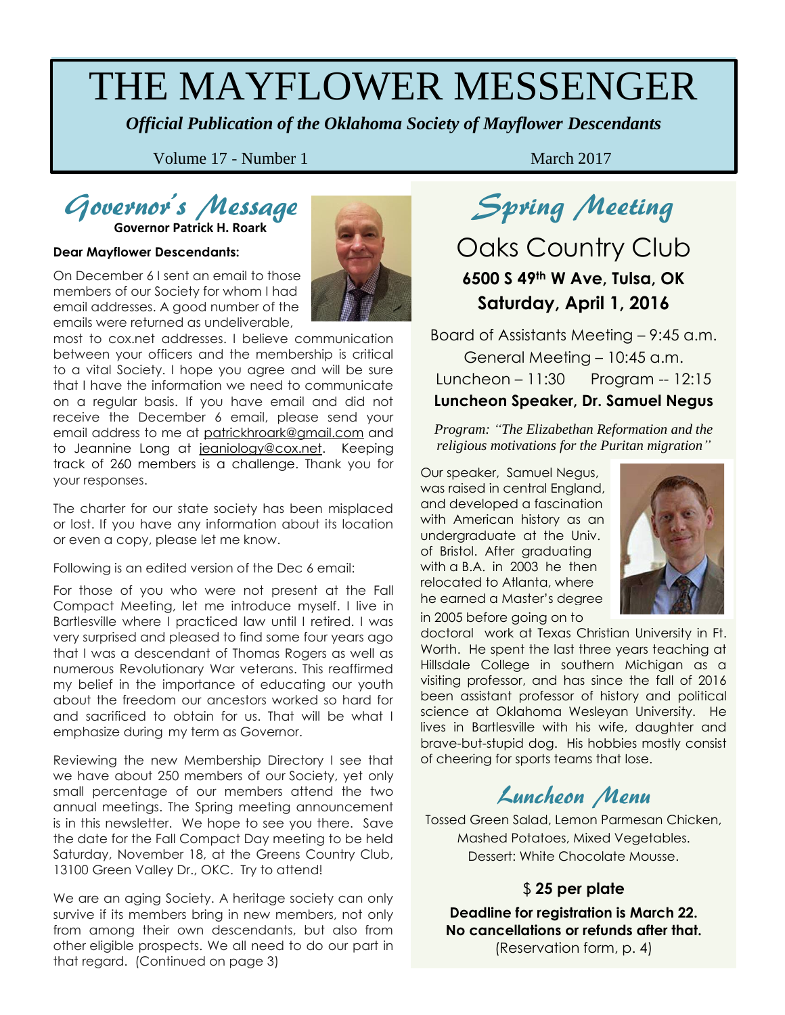# THE MAYFLOWER MESSENGER

*Official Publication of the Oklahoma Society of Mayflower Descendants*

Volume 17 - Number 1 March 2017

# Governor's Message

**Governor Patrick H. Roark**

#### **Dear Mayflower Descendants:**

On December 6 I sent an email to those members of our Society for whom I had email addresses. A good number of the emails were returned as undeliverable,



most to cox.net addresses. I believe communication between your officers and the membership is critical to a vital Society. I hope you agree and will be sure that I have the information we need to communicate on a regular basis. If you have email and did not receive the December 6 email, please send your email address to me at [patrickhroark@gmail.com](mailto:patrickhroark@gmail.com) and to Jeannine Long at [jeaniology@cox.net.](mailto:jeaniology@cox.net) Keeping track of 260 members is a challenge. Thank you for your responses.

The charter for our state society has been misplaced or lost. If you have any information about its location or even a copy, please let me know.

Following is an edited version of the Dec 6 email:

For those of you who were not present at the Fall Compact Meeting, let me introduce myself. I live in Bartlesville where I practiced law until I retired. I was very surprised and pleased to find some four years ago that I was a descendant of Thomas Rogers as well as numerous Revolutionary War veterans. This reaffirmed my belief in the importance of educating our youth about the freedom our ancestors worked so hard for and sacrificed to obtain for us. That will be what I emphasize during my term as Governor.

Reviewing the new Membership Directory I see that we have about 250 members of our Society, yet only small percentage of our members attend the two annual meetings. The Spring meeting announcement is in this newsletter. We hope to see you there. Save the date for the Fall Compact Day meeting to be held Saturday, November 18, at the Greens Country Club, 13100 Green Valley Dr., OKC. Try to attend!

We are an aging Society. A heritage society can only survive if its members bring in new members, not only from among their own descendants, but also from other eligible prospects. We all need to do our part in that regard. (Continued on page 3)

Spring Meeting

## Oaks Country Club **6500 S 49th W Ave, Tulsa, OK Saturday, April 1, 2016**

Board of Assistants Meeting – 9:45 a.m. General Meeting – 10:45 a.m. Luncheon – 11:30 Program -- 12:15 **Luncheon Speaker, Dr. Samuel Negus**

*Program: "The Elizabethan Reformation and the religious motivations for the Puritan migration"*

in 2005 before going on to Our speaker, Samuel Negus, was raised in central England, and developed a fascination with American history as an undergraduate at the Univ. of Bristol. After graduating with a B.A. in 2003 he then relocated to Atlanta, where he earned a Master's degree



doctoral work at Texas Christian University in Ft. Worth. He spent the last three years teaching at Hillsdale College in southern Michigan as a visiting professor, and has since the fall of 2016 been assistant professor of history and political science at Oklahoma Wesleyan University. He lives in Bartlesville with his wife, daughter and brave-but-stupid dog. His hobbies mostly consist of cheering for sports teams that lose.

## Luncheon Menu

Tossed Green Salad, Lemon Parmesan Chicken, Mashed Potatoes, Mixed Vegetables. Dessert: White Chocolate Mousse.

### \$ **25 per plate**

**Deadline for registration is March 22. No cancellations or refunds after that.** (Reservation form, p. 4)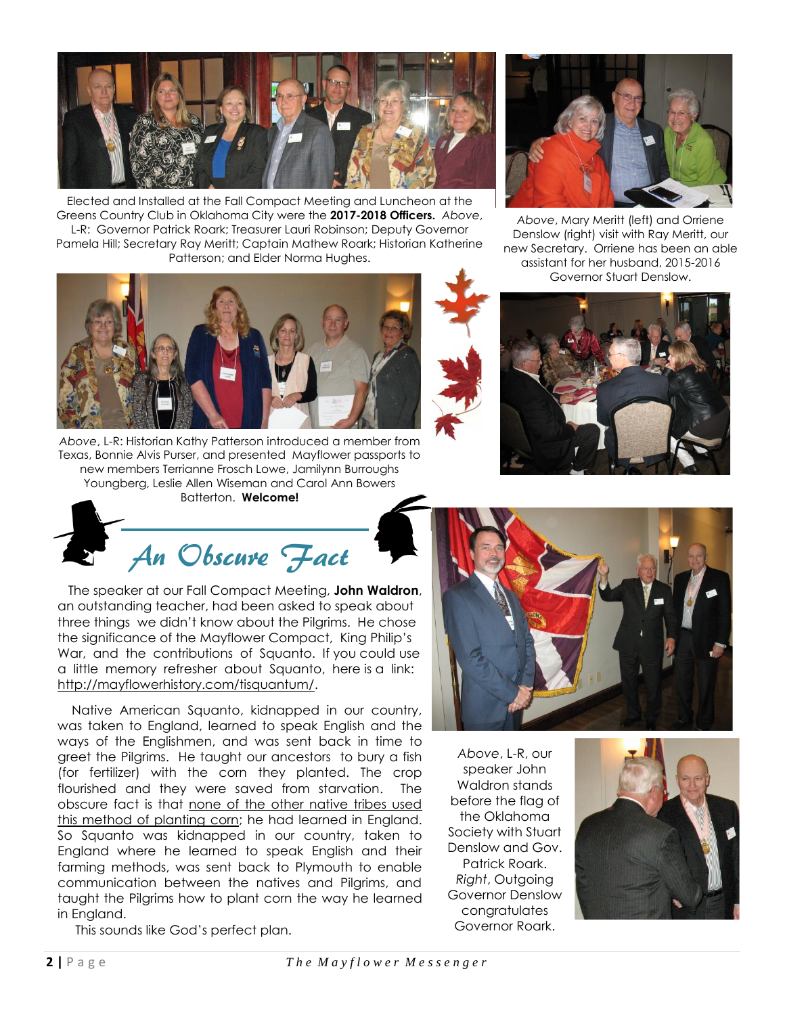

Elected and Installed at the Fall Compact Meeting and Luncheon at the Greens Country Club in Oklahoma City were the **2017-2018 Officers.** *Above*, L-R: Governor Patrick Roark; Treasurer Lauri Robinson; Deputy Governor Pamela Hill; Secretary Ray Meritt; Captain Mathew Roark; Historian Katherine Patterson; and Elder Norma Hughes.



*Above*, L-R: Historian Kathy Patterson introduced a member from Texas, Bonnie Alvis Purser, and presented Mayflower passports to new members Terrianne Frosch Lowe, Jamilynn Burroughs Youngberg, Leslie Allen Wiseman and Carol Ann Bowers Batterton. **Welcome!**



 The speaker at our Fall Compact Meeting, **John Waldron**, an outstanding teacher, had been asked to speak about three things we didn't know about the Pilgrims. He chose the significance of the Mayflower Compact, King Philip's War, and the contributions of Squanto. If you could use a little memory refresher about Squanto, here is a link: [http://mayflowerhistory.com/tisquantum/.](http://mayflowerhistory.com/tisquantum/)

 Native American Squanto, kidnapped in our country, was taken to England, learned to speak English and the ways of the Englishmen, and was sent back in time to greet the Pilgrims. He taught our ancestors to bury a fish (for fertilizer) with the corn they planted. The crop flourished and they were saved from starvation. The obscure fact is that none of the other native tribes used this method of planting corn; he had learned in England. So Squanto was kidnapped in our country, taken to England where he learned to speak English and their farming methods, was sent back to Plymouth to enable communication between the natives and Pilgrims, and taught the Pilgrims how to plant corn the way he learned in England.

This sounds like God's perfect plan.



*Above*, Mary Meritt (left) and Orriene Denslow (right) visit with Ray Meritt, our new Secretary. Orriene has been an able assistant for her husband, 2015-2016 Governor Stuart Denslow.





*Above*, L-R, our speaker John Waldron stands before the flag of the Oklahoma Society with Stuart Denslow and Gov. Patrick Roark. *Right*, Outgoing Governor Denslow congratulates Governor Roark.

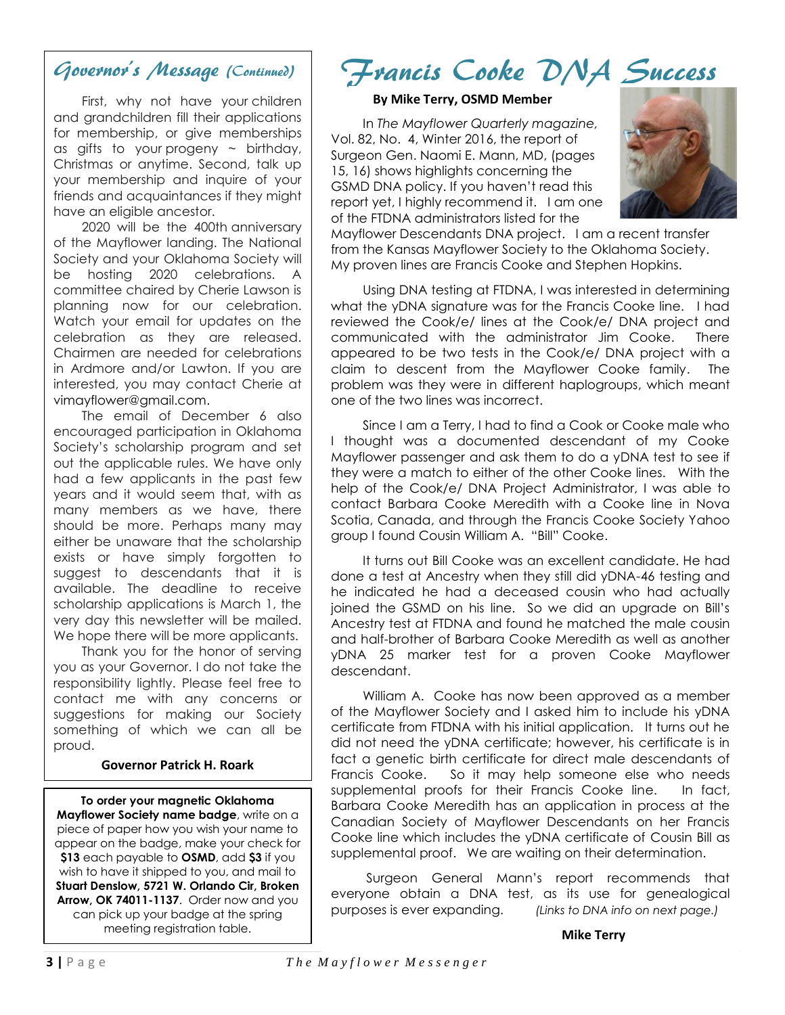## Governor's Message (Continued)

 First, why not have your children and grandchildren fill their applications for membership, or give memberships as gifts to your progeny  $\sim$  birthday, Christmas or anytime. Second, talk up your membership and inquire of your friends and acquaintances if they might have an eligible ancestor.

 2020 will be the 400th anniversary of the Mayflower landing. The National Society and your Oklahoma Society will be hosting 2020 celebrations. A committee chaired by Cherie Lawson is planning now for our celebration. Watch your email for updates on the celebration as they are released. Chairmen are needed for celebrations in Ardmore and/or Lawton. If you are interested, you may contact Cherie at vimayflower@gmail.com.

 The email of December 6 also encouraged participation in Oklahoma Society's scholarship program and set out the applicable rules. We have only had a few applicants in the past few years and it would seem that, with as many members as we have, there should be more. Perhaps many may either be unaware that the scholarship exists or have simply forgotten to suggest to descendants that it is available. The deadline to receive scholarship applications is March 1, the very day this newsletter will be mailed. We hope there will be more applicants.

 Thank you for the honor of serving you as your Governor. I do not take the responsibility lightly. Please feel free to contact me with any concerns or suggestions for making our Society something of which we can all be proud.

### **Governor Patrick H. Roark**

**To order your magnetic Oklahoma Mayflower Society name badge**, write on a piece of paper how you wish your name to appear on the badge, make your check for **\$13** each payable to **OSMD**, add **\$3** if you wish to have it shipped to you, and mail to **Stuart Denslow, 5721 W. Orlando Cir, Broken Arrow, OK 74011-1137**. Order now and you can pick up your badge at the spring meeting registration table.

# Francis Cooke DNA Success

### **By Mike Terry, OSMD Member**

 In *The Mayflower Quarterly magazine,* Vol. 82, No. 4, Winter 2016, the report of Surgeon Gen. Naomi E. Mann, MD, (pages 15, 16) shows highlights concerning the GSMD DNA policy. If you haven't read this report yet, I highly recommend it. I am one of the FTDNA administrators listed for the



Mayflower Descendants DNA project. I am a recent transfer from the Kansas Mayflower Society to the Oklahoma Society. My proven lines are Francis Cooke and Stephen Hopkins.

 Using DNA testing at FTDNA, I was interested in determining what the yDNA signature was for the Francis Cooke line. I had reviewed the Cook/e/ lines at the Cook/e/ DNA project and communicated with the administrator Jim Cooke. There appeared to be two tests in the Cook/e/ DNA project with a claim to descent from the Mayflower Cooke family. The problem was they were in different haplogroups, which meant one of the two lines was incorrect.

 Since I am a Terry, I had to find a Cook or Cooke male who I thought was a documented descendant of my Cooke Mayflower passenger and ask them to do a yDNA test to see if they were a match to either of the other Cooke lines. With the help of the Cook/e/ DNA Project Administrator, I was able to contact Barbara Cooke Meredith with a Cooke line in Nova Scotia, Canada, and through the Francis Cooke Society Yahoo group I found Cousin William A. "Bill" Cooke.

 It turns out Bill Cooke was an excellent candidate. He had done a test at Ancestry when they still did yDNA-46 testing and he indicated he had a deceased cousin who had actually joined the GSMD on his line. So we did an upgrade on Bill's Ancestry test at FTDNA and found he matched the male cousin and half-brother of Barbara Cooke Meredith as well as another yDNA 25 marker test for a proven Cooke Mayflower descendant.

 William A. Cooke has now been approved as a member of the Mayflower Society and I asked him to include his yDNA certificate from FTDNA with his initial application. It turns out he did not need the yDNA certificate; however, his certificate is in fact a genetic birth certificate for direct male descendants of Francis Cooke. So it may help someone else who needs supplemental proofs for their Francis Cooke line. In fact, Barbara Cooke Meredith has an application in process at the Canadian Society of Mayflower Descendants on her Francis Cooke line which includes the yDNA certificate of Cousin Bill as supplemental proof. We are waiting on their determination.

 Surgeon General Mann's report recommends that everyone obtain a DNA test, as its use for genealogical purposes is ever expanding. *(Links to DNA info on next page.)*